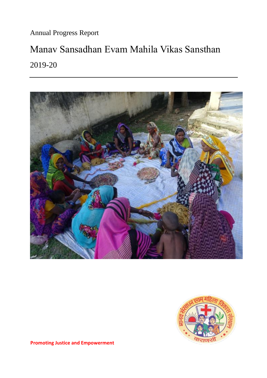Annual Progress Report

# Manav Sansadhan Evam Mahila Vikas Sansthan 2019-20





**Promoting Justice and Empowerment**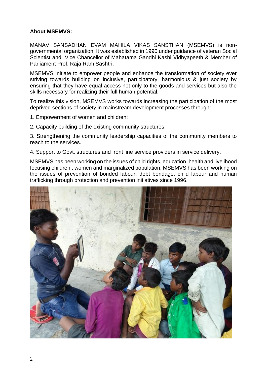#### **About MSEMVS:**

MANAV SANSADHAN EVAM MAHILA VIKAS SANSTHAN (MSEMVS) is nongovernmental organization. It was established in 1990 under guidance of veteran Social Scientist and Vice Chancellor of Mahatama Gandhi Kashi Vidhyapeeth & Member of Parliament Prof. Raja Ram Sashtri.

MSEMVS Initiate to empower people and enhance the transformation of society ever striving towards building on inclusive, participatory, harmonious & just society by ensuring that they have equal access not only to the goods and services but also the skills necessary for realizing their full human potential.

To realize this vision, MSEMVS works towards increasing the participation of the most deprived sections of society in mainstream development processes through:

1. Empowerment of women and children;

2. Capacity building of the existing community structures;

3. Strengthening the community leadership capacities of the community members to reach to the services.

4. Support to Govt. structures and front line service providers in service delivery.

MSEMVS has been working on the issues of child rights, education, health and livelihood focusing children , women and marginalized population. MSEMVS has been working on the issues of prevention of bonded labour, debt bondage, child labour and human trafficking through protection and prevention initiatives since 1996.

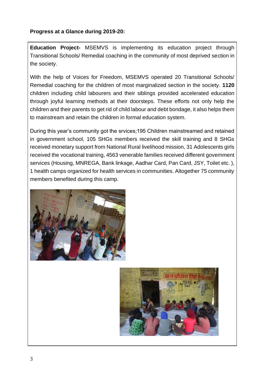#### **Progress at a Glance during 2019-20:**

**Education Project-** MSEMVS is implementing its education project through Transitional Schools/ Remedial coaching in the community of most deprived section in the society.

With the help of Voices for Freedom, MSEMVS operated 20 Transitional Schools/ Remedial coaching for the children of most marginalized section in the society. **1120** children including child labourers and their siblings provided accelerated education through joyful learning methods at their doorsteps. These efforts not only help the children and their parents to get rid of child labour and debt bondage, it also helps them to mainstream and retain the children in formal education system.

During this year's community got the srvices;195 Children mainstreamed and retained in government school, 105 SHGs members received the skill training and 8 SHGs received monetary support from National Rural livelihood mission, 31 Adolescents girls received the vocational training, 4563 venerable families received different government services (Housing, MNREGA, Bank linkage, Aadhar Card, Pan Card, JSY, Toilet etc. ), 1 health camps organized for health services in communities. Altogether 75 community members benefited during this camp.



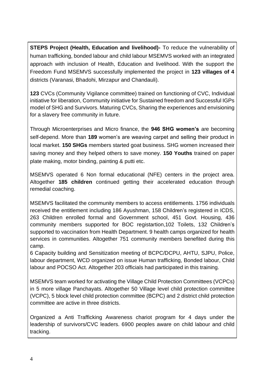**STEPS Project (Health, Education and livelihood)-** To reduce the vulnerability of human trafficking, bonded labour and child labour MSEMVS worked with an integrated approach with inclusion of Health, Education and livelihood. With the support the Freedom Fund MSEMVS successfully implemented the project in **123 villages of 4** districts (Varanasi, Bhadohi, Mirzapur and Chandauli).

**123** CVCs (Community Vigilance committee) trained on functioning of CVC, Individual initiative for liberation, Community initiative for Sustained freedom and Successful IGPs model of SHG and Survivors. Maturing CVCs, Sharing the experiences and envisioning for a slavery free community in future.

Through Microenterprises and Micro finance, the **946 SHG women's** are becoming self-depend. More than **189** women's are weaving carpet and selling their product in local market. **150 SHGs** members started goat business. SHG women increased their saving money and they helped others to save money. **150 Youths** trained on paper plate making, motor binding, painting & putti etc.

MSEMVS operated 6 Non formal educational (NFE) centers in the project area. Altogether **185 children** continued getting their accelerated education through remedial coaching.

MSEMVS facilitated the community members to access entitlements. 1756 individuals received the entitlement including 186 Ayushman, 158 Children's registered in ICDS, 263 Children enrolled formal and Government school, 451 Govt. Housing, 436 community members supported for BOC registartion,102 Toilets, 132 Children's supported to vaccination from Health Department. 9 health camps organized for health services in communities. Altogether 751 community members benefited during this camp.

6 Capacity building and Sensitization meeting of BCPC/DCPU, AHTU, SJPU, Police, labour department, WCD organized on issue Human trafficking, Bonded labour, Child labour and POCSO Act. Altogether 203 officials had participated in this training.

MSEMVS team worked for activating the Village Child Protection Committees (VCPCs) in 5 more village Panchayats. Altogether 50 Village level child protection committee (VCPC), 5 block level child protection committee (BCPC) and 2 district child protection committee are active in three districts.

Organized a Anti Trafficking Awareness chariot program for 4 days under the leadership of survivors/CVC leaders. 6900 peoples aware on child labour and child tracking.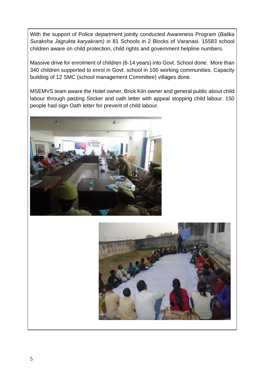With the support of Police department jointly conducted Awareness Program (*Balika Suraksha Jagrukta karyakram)* in 81 Schools in 2 Blocks of Varanasi. 15583 school children aware on child protection, child rights and government helpline numbers.

Massive drive for enrolment of children (6-14 years) into Govt. School done. More than 340 children supported to enrol in Govt. school in 100 working communities. Capacity building of 12 SMC (school management Committee) villages done.

MSEMVS team aware the Hotel owner, Brick Kiln owner and general public about child labour through pasting Sticker and oath letter with appeal stopping child labour. 150 people had sign Oath letter for prevent of child labour.



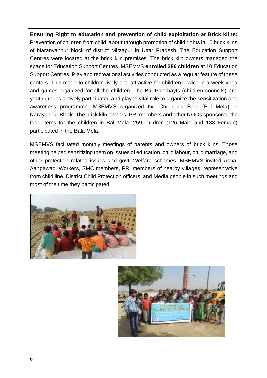**Ensuring Right to education and prevention of child exploitation at Brick kilns:** Prevention of children from child labour through promotion of child rights in 10 brick kilns of Naranyanpur block of district Mirzapur in Uttar Pradesh. The Education Support Centres were located at the brick kiln premises. The brick kiln owners managed the space for Education Support Centres. MSEMVS **enrolled 286 children** at 10 Education Support Centres. Play and recreational activities conducted as a regular feature of these centers. This made to children lively and attractive for children. Twice in a week yoga and games organized for all the children. The Bal Panchayts (children councils) and youth groups actively participated and played vital role to organize the sensitization and awareness programme. MSEMVS organized the Children's Fare (Bal Mela) in Narayanpur Block. The brick kiln owners, PRI members and other NGOs sponsored the food items for the children in Bal Mela. 259 children (126 Male and 133 Female) participated in the Bala Mela.

MSEMVS facilitated monthly meetings of parents and owners of brick kilns. Those meeting helped sensitizing them on issues of education, child labour, child marriage, and other protection related issues and govt. Welfare schemes. MSEMVS invited Asha, Aangawadi Workers, SMC members, PRI members of nearby villages, representative from child line, District Child Protection officers, and Media people in such meetings and most of the time they participated.



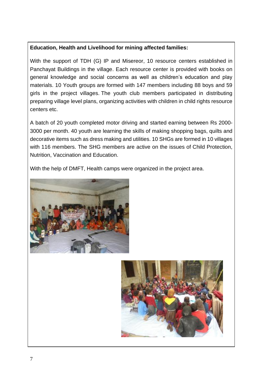### **Education, Health and Livelihood for mining affected families:**

With the support of TDH (G) IP and Misereor, 10 resource centers established in Panchayat Buildings in the village. Each resource center is provided with books on general knowledge and social concerns as well as children's education and play materials. 10 Youth groups are formed with 147 members including 88 boys and 59 girls in the project villages. The youth club members participated in distributing preparing village level plans, organizing activities with children in child rights resource centers etc.

A batch of 20 youth completed motor driving and started earning between Rs 2000- 3000 per month. 40 youth are learning the skills of making shopping bags, quilts and decorative items such as dress making and utilities. 10 SHGs are formed in 10 villages with 116 members. The SHG members are active on the issues of Child Protection, Nutrition, Vaccination and Education.

With the help of DMFT, Health camps were organized in the project area.



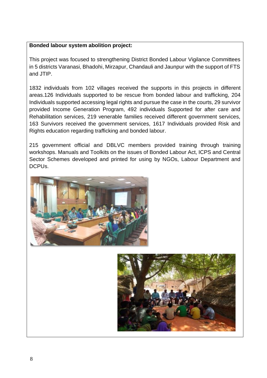### **Bonded labour system abolition project:**

This project was focused to strengthening District Bonded Labour Vigilance Committees in 5 districts Varanasi, Bhadohi, Mirzapur, Chandauli and Jaunpur with the support of FTS and JTIP.

1832 individuals from 102 villages received the supports in this projects in different areas.126 Individuals supported to be rescue from bonded labour and trafficking, 204 Individuals supported accessing legal rights and pursue the case in the courts, 29 survivor provided Income Generation Program, 492 individuals Supported for after care and Rehabilitation services, 219 venerable families received different government services, 163 Survivors received the government services, 1617 Individuals provided Risk and Rights education regarding trafficking and bonded labour.

215 government official and DBLVC members provided training through training workshops. Manuals and Toolkits on the issues of Bonded Labour Act, ICPS and Central Sector Schemes developed and printed for using by NGOs, Labour Department and DCPUs.